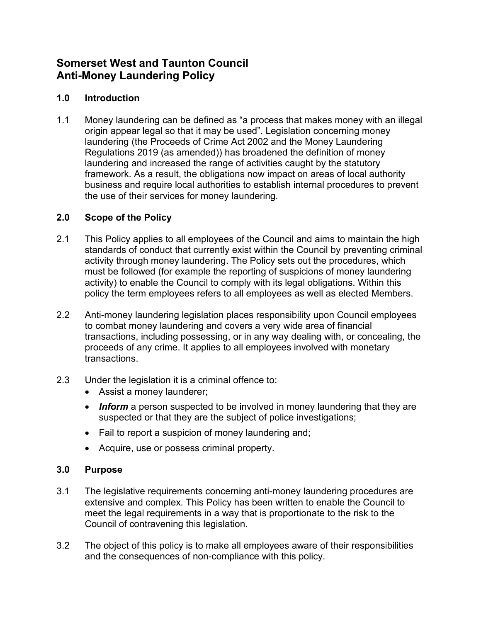# **Somerset West and Taunton Council Anti-Money Laundering Policy**

# **1.0 Introduction**

1.1 Money laundering can be defined as "a process that makes money with an illegal origin appear legal so that it may be used". Legislation concerning money laundering (the Proceeds of Crime Act 2002 and the Money Laundering Regulations 2019 (as amended)) has broadened the definition of money laundering and increased the range of activities caught by the statutory framework. As a result, the obligations now impact on areas of local authority business and require local authorities to establish internal procedures to prevent the use of their services for money laundering.

# **2.0 Scope of the Policy**

- 2.1 This Policy applies to all employees of the Council and aims to maintain the high standards of conduct that currently exist within the Council by preventing criminal activity through money laundering. The Policy sets out the procedures, which must be followed (for example the reporting of suspicions of money laundering activity) to enable the Council to comply with its legal obligations. Within this policy the term employees refers to all employees as well as elected Members.
- 2.2 Anti-money laundering legislation places responsibility upon Council employees to combat money laundering and covers a very wide area of financial transactions, including possessing, or in any way dealing with, or concealing, the proceeds of any crime. It applies to all employees involved with monetary transactions.
- 2.3 Under the legislation it is a criminal offence to:
	- Assist a money launderer;
	- **Inform** a person suspected to be involved in money laundering that they are suspected or that they are the subject of police investigations;
	- Fail to report a suspicion of money laundering and;
	- Acquire, use or possess criminal property.

#### **3.0 Purpose**

- 3.1 The legislative requirements concerning anti-money laundering procedures are extensive and complex. This Policy has been written to enable the Council to meet the legal requirements in a way that is proportionate to the risk to the Council of contravening this legislation.
- 3.2 The object of this policy is to make all employees aware of their responsibilities and the consequences of non-compliance with this policy.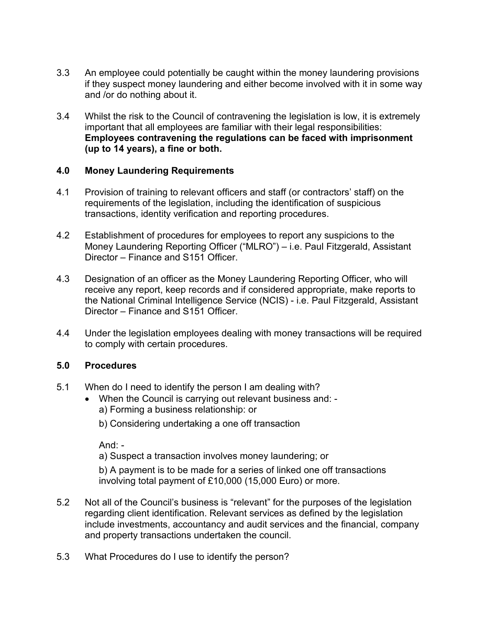- 3.3 An employee could potentially be caught within the money laundering provisions if they suspect money laundering and either become involved with it in some way and /or do nothing about it.
- 3.4 Whilst the risk to the Council of contravening the legislation is low, it is extremely important that all employees are familiar with their legal responsibilities: **Employees contravening the regulations can be faced with imprisonment (up to 14 years), a fine or both.**

#### **4.0 Money Laundering Requirements**

- 4.1 Provision of training to relevant officers and staff (or contractors' staff) on the requirements of the legislation, including the identification of suspicious transactions, identity verification and reporting procedures.
- 4.2 Establishment of procedures for employees to report any suspicions to the Money Laundering Reporting Officer ("MLRO") – i.e. Paul Fitzgerald, Assistant Director – Finance and S151 Officer.
- 4.3 Designation of an officer as the Money Laundering Reporting Officer, who will receive any report, keep records and if considered appropriate, make reports to the National Criminal Intelligence Service (NCIS) - i.e. Paul Fitzgerald, Assistant Director – Finance and S151 Officer.
- 4.4 Under the legislation employees dealing with money transactions will be required to comply with certain procedures.

# **5.0 Procedures**

- 5.1 When do I need to identify the person I am dealing with?
	- When the Council is carrying out relevant business and: a) Forming a business relationship: or
		- b) Considering undertaking a one off transaction

And: -

a) Suspect a transaction involves money laundering; or

b) A payment is to be made for a series of linked one off transactions involving total payment of £10,000 (15,000 Euro) or more.

- 5.2 Not all of the Council's business is "relevant" for the purposes of the legislation regarding client identification. Relevant services as defined by the legislation include investments, accountancy and audit services and the financial, company and property transactions undertaken the council.
- 5.3 What Procedures do I use to identify the person?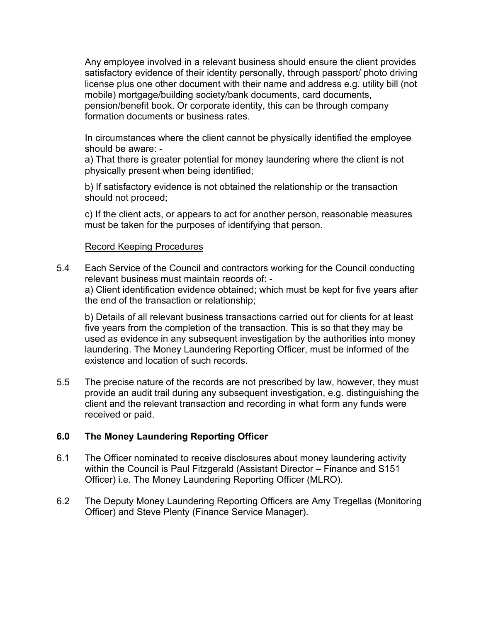Any employee involved in a relevant business should ensure the client provides satisfactory evidence of their identity personally, through passport/ photo driving license plus one other document with their name and address e.g. utility bill (not mobile) mortgage/building society/bank documents, card documents, pension/benefit book. Or corporate identity, this can be through company formation documents or business rates.

In circumstances where the client cannot be physically identified the employee should be aware: -

a) That there is greater potential for money laundering where the client is not physically present when being identified;

b) If satisfactory evidence is not obtained the relationship or the transaction should not proceed;

c) If the client acts, or appears to act for another person, reasonable measures must be taken for the purposes of identifying that person.

#### Record Keeping Procedures

5.4 Each Service of the Council and contractors working for the Council conducting relevant business must maintain records of: a) Client identification evidence obtained; which must be kept for five years after the end of the transaction or relationship;

b) Details of all relevant business transactions carried out for clients for at least five years from the completion of the transaction. This is so that they may be used as evidence in any subsequent investigation by the authorities into money laundering. The Money Laundering Reporting Officer, must be informed of the existence and location of such records.

5.5 The precise nature of the records are not prescribed by law, however, they must provide an audit trail during any subsequent investigation, e.g. distinguishing the client and the relevant transaction and recording in what form any funds were received or paid.

# **6.0 The Money Laundering Reporting Officer**

- 6.1 The Officer nominated to receive disclosures about money laundering activity within the Council is Paul Fitzgerald (Assistant Director – Finance and S151 Officer) i.e. The Money Laundering Reporting Officer (MLRO).
- 6.2 The Deputy Money Laundering Reporting Officers are Amy Tregellas (Monitoring Officer) and Steve Plenty (Finance Service Manager).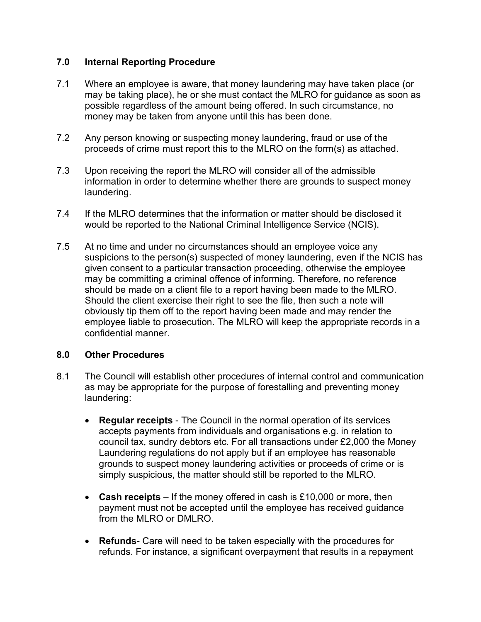#### **7.0 Internal Reporting Procedure**

- 7.1 Where an employee is aware, that money laundering may have taken place (or may be taking place), he or she must contact the MLRO for guidance as soon as possible regardless of the amount being offered. In such circumstance, no money may be taken from anyone until this has been done.
- 7.2 Any person knowing or suspecting money laundering, fraud or use of the proceeds of crime must report this to the MLRO on the form(s) as attached.
- 7.3 Upon receiving the report the MLRO will consider all of the admissible information in order to determine whether there are grounds to suspect money laundering.
- 7.4 If the MLRO determines that the information or matter should be disclosed it would be reported to the National Criminal Intelligence Service (NCIS).
- 7.5 At no time and under no circumstances should an employee voice any suspicions to the person(s) suspected of money laundering, even if the NCIS has given consent to a particular transaction proceeding, otherwise the employee may be committing a criminal offence of informing. Therefore, no reference should be made on a client file to a report having been made to the MLRO. Should the client exercise their right to see the file, then such a note will obviously tip them off to the report having been made and may render the employee liable to prosecution. The MLRO will keep the appropriate records in a confidential manner.

#### **8.0 Other Procedures**

- 8.1 The Council will establish other procedures of internal control and communication as may be appropriate for the purpose of forestalling and preventing money laundering:
	- **Regular receipts**  The Council in the normal operation of its services accepts payments from individuals and organisations e.g. in relation to council tax, sundry debtors etc. For all transactions under £2,000 the Money Laundering regulations do not apply but if an employee has reasonable grounds to suspect money laundering activities or proceeds of crime or is simply suspicious, the matter should still be reported to the MLRO.
	- **Cash receipts**  If the money offered in cash is £10,000 or more, then payment must not be accepted until the employee has received guidance from the MLRO or DMLRO.
	- **Refunds** Care will need to be taken especially with the procedures for refunds. For instance, a significant overpayment that results in a repayment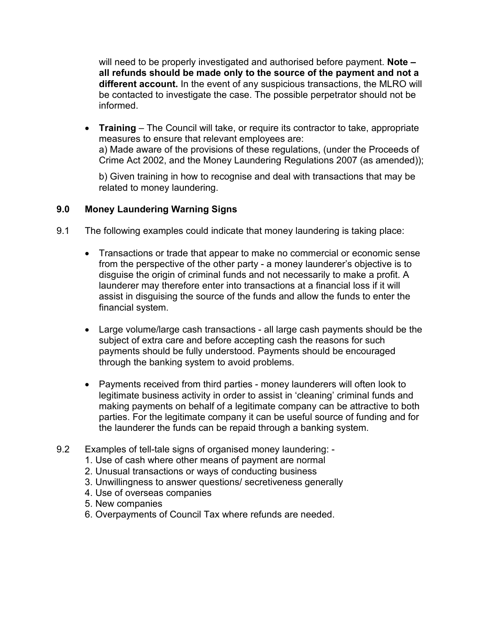will need to be properly investigated and authorised before payment. **Note – all refunds should be made only to the source of the payment and not a different account.** In the event of any suspicious transactions, the MLRO will be contacted to investigate the case. The possible perpetrator should not be informed.

• **Training** – The Council will take, or require its contractor to take, appropriate measures to ensure that relevant employees are: a) Made aware of the provisions of these regulations, (under the Proceeds of Crime Act 2002, and the Money Laundering Regulations 2007 (as amended));

b) Given training in how to recognise and deal with transactions that may be related to money laundering.

### **9.0 Money Laundering Warning Signs**

- 9.1 The following examples could indicate that money laundering is taking place:
	- Transactions or trade that appear to make no commercial or economic sense from the perspective of the other party - a money launderer's objective is to disguise the origin of criminal funds and not necessarily to make a profit. A launderer may therefore enter into transactions at a financial loss if it will assist in disguising the source of the funds and allow the funds to enter the financial system.
	- Large volume/large cash transactions all large cash payments should be the subject of extra care and before accepting cash the reasons for such payments should be fully understood. Payments should be encouraged through the banking system to avoid problems.
	- Payments received from third parties money launderers will often look to legitimate business activity in order to assist in 'cleaning' criminal funds and making payments on behalf of a legitimate company can be attractive to both parties. For the legitimate company it can be useful source of funding and for the launderer the funds can be repaid through a banking system.
- 9.2 Examples of tell-tale signs of organised money laundering:
	- 1. Use of cash where other means of payment are normal
	- 2. Unusual transactions or ways of conducting business
	- 3. Unwillingness to answer questions/ secretiveness generally
	- 4. Use of overseas companies
	- 5. New companies
	- 6. Overpayments of Council Tax where refunds are needed.